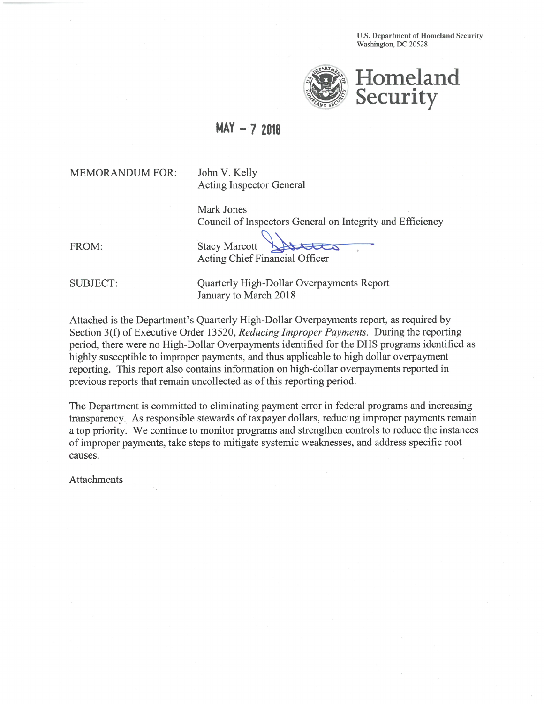**U.S. Department of Homeland Security** Washington, DC 20528



## $MAX - 72018$

**MEMORANDUM FOR:** 

John V. Kelly **Acting Inspector General** 

Mark Jones Council of Inspectors General on Integrity and Efficiency

FROM:

**Stacy Marcott Acting Chief Financial Officer** 

**SUBJECT:** 

Quarterly High-Dollar Overpayments Report January to March 2018

Attached is the Department's Quarterly High-Dollar Overpayments report, as required by Section 3(f) of Executive Order 13520, Reducing Improper Payments. During the reporting period, there were no High-Dollar Overpayments identified for the DHS programs identified as highly susceptible to improper payments, and thus applicable to high dollar overpayment reporting. This report also contains information on high-dollar overpayments reported in previous reports that remain uncollected as of this reporting period.

The Department is committed to eliminating payment error in federal programs and increasing transparency. As responsible stewards of taxpayer dollars, reducing improper payments remain a top priority. We continue to monitor programs and strengthen controls to reduce the instances of improper payments, take steps to mitigate systemic weaknesses, and address specific root causes.

Attachments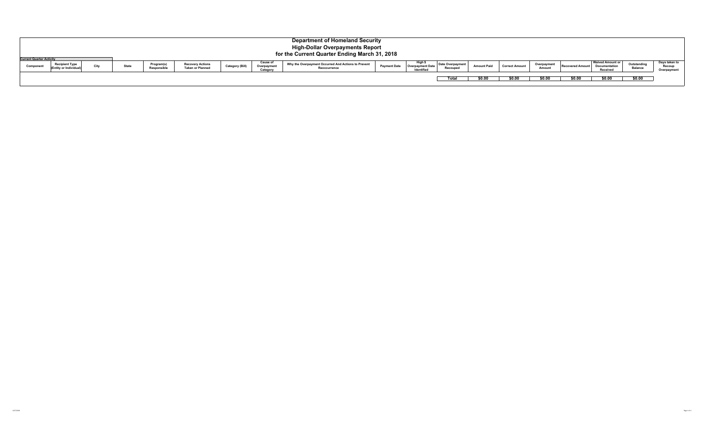|           | <b>Department of Homeland Security</b><br><b>High-Dollar Overpayments Report</b><br>for the Current Quarter Ending March 31, 2018<br><b>Current Quarter Activity</b> |      |              |                           |                                                    |                 |                                     |                                                                     |                     |                                                |                                     |                    |                       |                       |                         |                                                             |                               |                                        |
|-----------|----------------------------------------------------------------------------------------------------------------------------------------------------------------------|------|--------------|---------------------------|----------------------------------------------------|-----------------|-------------------------------------|---------------------------------------------------------------------|---------------------|------------------------------------------------|-------------------------------------|--------------------|-----------------------|-----------------------|-------------------------|-------------------------------------------------------------|-------------------------------|----------------------------------------|
| Component | <b>Recipient Type</b><br>(Entity or Individua                                                                                                                        | City | <b>State</b> | Program(s)<br>Responsible | <b>Recovery Actions</b><br><b>Taken or Planned</b> | Category (Bill) | Cause of<br>Overpayment<br>Category | Why the Overpayment Occurred And Actions to Prevent<br>Reoccurrence | <b>Payment Date</b> | Hiah !<br><b>Overpayment Date</b><br>Identifie | <b>Date Overpayment</b><br>Recouped | <b>Amount Paid</b> | <b>Correct Amount</b> | Overpayment<br>Amoun' | <b>Recovered Amount</b> | <b>Waived Amount or</b><br><b>Documentation</b><br>Received | Outstanding<br><b>Balance</b> | Days taken to<br>Recoup<br>Overpayment |
|           |                                                                                                                                                                      |      |              |                           |                                                    |                 |                                     |                                                                     |                     |                                                | Total                               | \$0.00             | \$0.00                | \$0.00                | \$0.00                  | \$0.00                                                      | \$0.00                        |                                        |

4/27/2018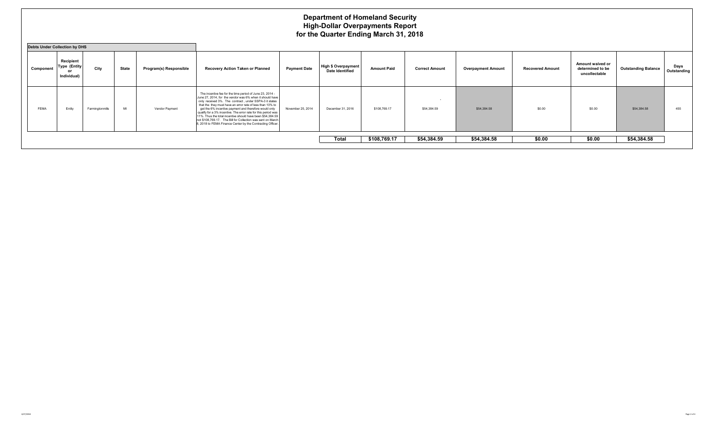## **Department of Homeland Security High-Dollar Overpayments Report for the Quarter Ending March 31, 2018**

| <b>Debts Under Collection by DHS</b> |                                                               |                 |              |                        |                                                                                                                                                                                                                                                                                                                                                                                                                                                                                                                                                                   |                     |                                               |                    |                       |                           |                         |                                                       |                            |                     |
|--------------------------------------|---------------------------------------------------------------|-----------------|--------------|------------------------|-------------------------------------------------------------------------------------------------------------------------------------------------------------------------------------------------------------------------------------------------------------------------------------------------------------------------------------------------------------------------------------------------------------------------------------------------------------------------------------------------------------------------------------------------------------------|---------------------|-----------------------------------------------|--------------------|-----------------------|---------------------------|-------------------------|-------------------------------------------------------|----------------------------|---------------------|
| Component                            | Recipient<br><b>Type (Entity</b><br>$^{\circ}$<br>Individual) | City            | <b>State</b> | Program(s) Responsible | Recovery Action Taken or Planned                                                                                                                                                                                                                                                                                                                                                                                                                                                                                                                                  | <b>Payment Date</b> | High \$ Overpayment<br><b>Date Identified</b> | <b>Amount Paid</b> | <b>Correct Amount</b> | <b>Overpayment Amount</b> | <b>Recovered Amount</b> | Amount waived or<br>determined to be<br>uncollectable | <b>Outstanding Balance</b> | Days<br>Outstanding |
| FEMA                                 | Entity                                                        | Farmingtonmills | MI           | Vendor Payment         | The incentive fee for the time period of June 23, 2014 -<br>June 27, 2014, for the vendor was 6% when it should have<br>only received 3%. The contract, under SSPA-3 it states<br>that the they must have an error rate of less than 10% to<br>get the 6% incentive payment and therefore would only<br>qualify for a 3% incentive. The error rate for this period was<br>11%. Thus the total incentive should have been \$54,384.59<br>not \$108,769.17. The Bill for Collection was sent on March<br>8, 2018 to FEMA Finance Center by the Contracting Officer. | November 25, 2014   | December 31, 2016                             | \$108,769.17       | \$54,384.59           | \$54,384.58               | \$0.00                  | \$0.00                                                | \$54,384.58                | 455                 |
|                                      |                                                               |                 |              |                        |                                                                                                                                                                                                                                                                                                                                                                                                                                                                                                                                                                   |                     | <b>Total</b>                                  | \$108,769.17       | \$54,384.59           | \$54,384.58               | \$0.00                  | \$0.00                                                | \$54,384.58                |                     |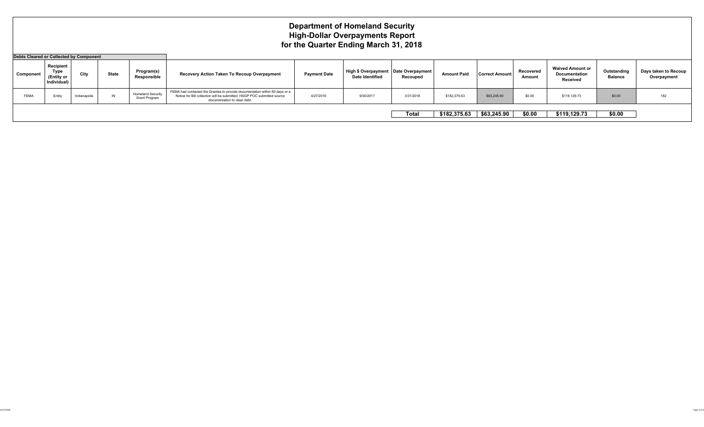## **Department of Homeland Security High-Dollar Overpayments Report for the Quarter Ending March 31, 2018**

| Debts Cleared or Collected by Component |                                                |              |              |                                           |                                                                                                                                                                                        |                     |                                                                  |           |                    |                       |                     |                                                      |                               |                                     |
|-----------------------------------------|------------------------------------------------|--------------|--------------|-------------------------------------------|----------------------------------------------------------------------------------------------------------------------------------------------------------------------------------------|---------------------|------------------------------------------------------------------|-----------|--------------------|-----------------------|---------------------|------------------------------------------------------|-------------------------------|-------------------------------------|
| Component                               | Recipient<br>Type<br>(Entity or<br>Individual) | City         | <b>State</b> | Program(s)<br>Responsible                 | Recovery Action Taken To Recoup Overpayment                                                                                                                                            | <b>Payment Date</b> | High \$ Overpayment   Date Overpayment<br><b>Date Identified</b> | Recouped  | <b>Amount Paid</b> | <b>Correct Amount</b> | Recovered<br>Amount | <b>Waived Amount or</b><br>Documentation<br>Received | Outstanding<br><b>Balance</b> | Days taken to Recoup<br>Overpayment |
| FEMA                                    | Entity                                         | Indianapolis | IN           | <b>Homeland Security</b><br>Grant Program | FEMA had contacted the Grantee to provide documentation within 60 days or a<br>Notice for Bill collection will be submitted. HSGP POC submitted source<br>documentation to clear debt. | 4/27/2016           | 9/30/201                                                         | 3/31/2018 | \$182,375.63       | \$63,245.90           | \$0.00              | \$119,129.73                                         | \$0.00                        | 182                                 |
|                                         |                                                |              |              |                                           |                                                                                                                                                                                        |                     |                                                                  | Total     | \$182,375.63       | \$63,245.90           | \$0.00              | \$119,129.73                                         | \$0.00                        |                                     |